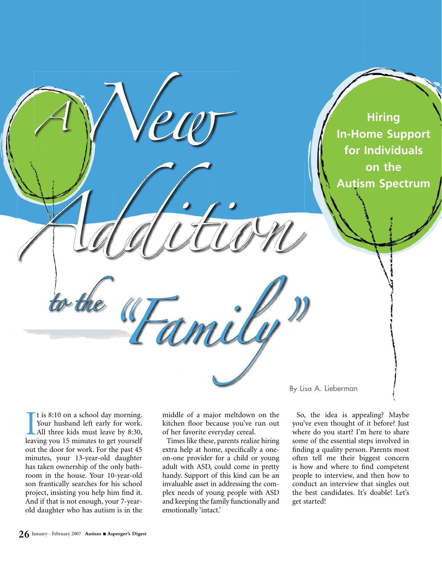

I tis 8:10 on a school day morning.<br>Your husband left early for work.<br>All three kids must leave by 8:30,<br>leaving you 15 minutes to get yourself t is 8:10 on a school day morning. Your husband left early for work. All three kids must leave by 8:30, out the door for work. For the past 45 minutes, your 13-year-old daughter has taken ownership of the only bathroom in the house. Your 10-year-old son frantically searches for his school project, insisting you help him find it. And if that is not enough, your 7-yearold daughter who has autism is in the

middle of a major meltdown on the kitchen floor because you've run out of her favorite everyday cereal.

Times like these, parents realize hiring extra help at home, specifically a oneon-one provider for a child or young adult with ASD, could come in pretty handy. Support of this kind can be an invaluable asset in addressing the complex needs of young people with ASD and keeping the family functionally and emotionally 'intact.'

So, the idea is appealing? Maybe you've even thought of it before? Just where do you start? I'm here to share some of the essential steps involved in finding a quality person. Parents most often tell me their biggest concern is how and where to find competent people to interview, and then how to conduct an interview that singles out the best candidates. It's doable! Let's get started!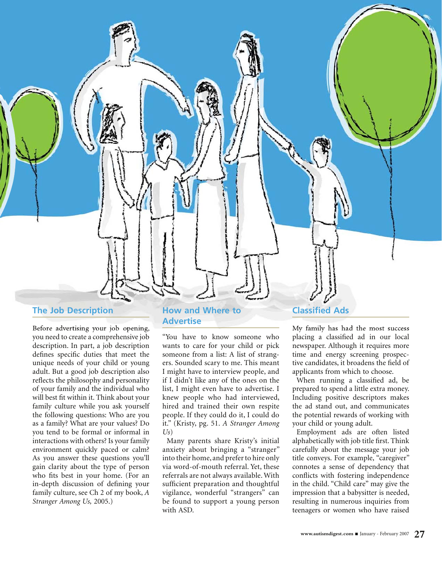

Before advertising your job opening, you need to create a comprehensive job description. In part, a job description defines specific duties that meet the unique needs of your child or young adult. But a good job description also reflects the philosophy and personality of your family and the individual who will best fit within it. Think about your family culture while you ask yourself the following questions: Who are you as a family? What are your values? Do you tend to be formal or informal in interactions with others? Is your family environment quickly paced or calm? As you answer these questions you'll gain clarity about the type of person who fits best in your home. (For an in-depth discussion of defining your family culture, see Ch 2 of my book, *A Stranger Among Us,* 2005.)

# **How and Where to Advertise**

"You have to know someone who wants to care for your child or pick someone from a list: A list of strangers. Sounded scary to me. This meant I might have to interview people, and if I didn't like any of the ones on the list, I might even have to advertise. I knew people who had interviewed, hired and trained their own respite people. If they could do it, I could do it." (Kristy, pg. 51. *A Stranger Among Us*)

Many parents share Kristy's initial anxiety about bringing a "stranger" into their home, and prefer to hire only via word-of-mouth referral. Yet, these referrals are not always available. With sufficient preparation and thoughtful vigilance, wonderful "strangers" can be found to support a young person with ASD.

# **Classified Ads**

My family has had the most success placing a classified ad in our local newspaper. Although it requires more time and energy screening prospective candidates, it broadens the field of applicants from which to choose.

When running a classified ad, be prepared to spend a little extra money. Including positive descriptors makes the ad stand out, and communicates the potential rewards of working with your child or young adult.

Employment ads are often listed alphabetically with job title first. Think carefully about the message your job title conveys. For example, "caregiver" connotes a sense of dependency that conflicts with fostering independence in the child. "Child care" may give the impression that a babysitter is needed, resulting in numerous inquiries from teenagers or women who have raised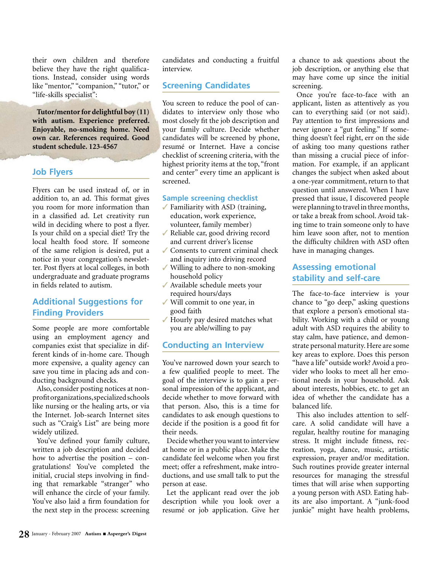their own children and therefore believe they have the right qualifications. Instead, consider using words like "mentor," "companion," "tutor," or "life-skills specialist":

**Tutor/mentor for delightful boy (11) with autism. Experience preferred. Enjoyable, no-smoking home. Need own car. References required. Good student schedule. 123-4567**

#### **Job Flyers**

Flyers can be used instead of, or in addition to, an ad. This format gives you room for more information than in a classified ad. Let creativity run wild in deciding where to post a flyer. Is your child on a special diet? Try the local health food store. If someone of the same religion is desired, put a notice in your congregation's newsletter. Post flyers at local colleges, in both undergraduate and graduate programs in fields related to autism.

# **Additional Suggestions for Finding Providers**

Some people are more comfortable using an employment agency and companies exist that specialize in different kinds of in-home care. Though more expensive, a quality agency can save you time in placing ads and conducting background checks.

Also, consider posting notices at nonprofit organizations, specialized schools like nursing or the healing arts, or via the Internet. Job-search Internet sites such as "Craig's List" are being more widely utilized.

You've defined your family culture, written a job description and decided how to advertise the position – congratulations! You've completed the initial, crucial steps involving in finding that remarkable "stranger" who will enhance the circle of your family. You've also laid a firm foundation for the next step in the process: screening

candidates and conducting a fruitful interview.

#### **Screening Candidates**

You screen to reduce the pool of candidates to interview only those who most closely fit the job description and your family culture. Decide whether candidates will be screened by phone, resumé or Internet. Have a concise checklist of screening criteria, with the highest priority items at the top, "front and center" every time an applicant is screened.

#### **Sample screening checklist**

- Familiarity with ASD (training, education, work experience, volunteer, family member)
- Reliable car, good driving record and current driver's license
- Consents to current criminal check and inquiry into driving record ✓
- Willing to adhere to non-smoking household policy
- Available schedule meets your required hours/days
- Will commit to one year, in good faith
- Hourly pay desired matches what you are able/willing to pay ✓

#### **Conducting an Interview**

You've narrowed down your search to a few qualified people to meet. The goal of the interview is to gain a personal impression of the applicant, and decide whether to move forward with that person. Also, this is a time for candidates to ask enough questions to decide if the position is a good fit for their needs.

Decide whether you want to interview at home or in a public place. Make the candidate feel welcome when you first meet; offer a refreshment, make introductions, and use small talk to put the person at ease.

Let the applicant read over the job description while you look over a resumé or job application. Give her a chance to ask questions about the job description, or anything else that may have come up since the initial screening.

Once you're face-to-face with an applicant, listen as attentively as you can to everything said (or not said). Pay attention to first impressions and never ignore a "gut feeling." If something doesn't feel right, err on the side of asking too many questions rather than missing a crucial piece of information. For example, if an applicant changes the subject when asked about a one-year commitment, return to that question until answered. When I have pressed that issue, I discovered people were planning to travel in three months, or take a break from school. Avoid taking time to train someone only to have him leave soon after, not to mention the difficulty children with ASD often have in managing changes.

# **Assessing emotional stability and self-care**

The face-to-face interview is your chance to "go deep," asking questions that explore a person's emotional stability. Working with a child or young adult with ASD requires the ability to stay calm, have patience, and demonstrate personal maturity. Here are some key areas to explore. Does this person "have a life" outside work? Avoid a provider who looks to meet all her emotional needs in your household. Ask about interests, hobbies, etc. to get an idea of whether the candidate has a balanced life.

This also includes attention to selfcare. A solid candidate will have a regular, healthy routine for managing stress. It might include fitness, recreation, yoga, dance, music, artistic expression, prayer and/or meditation. Such routines provide greater internal resources for managing the stressful times that will arise when supporting a young person with ASD. Eating habits are also important. A "junk-food junkie" might have health problems,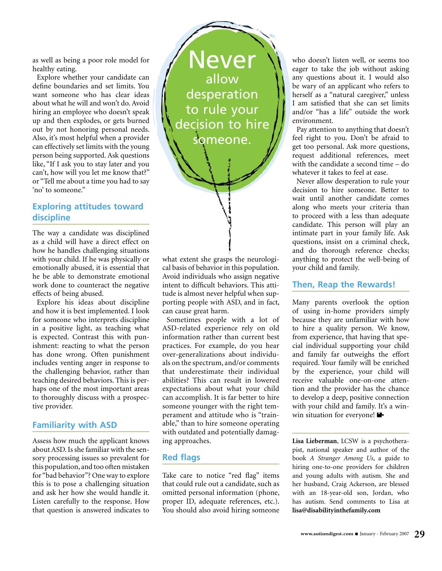as well as being a poor role model for healthy eating.

Explore whether your candidate can define boundaries and set limits. You want someone who has clear ideas about what he will and won't do. Avoid hiring an employee who doesn't speak up and then explodes, or gets burned out by not honoring personal needs. Also, it's most helpful when a provider can effectively set limits with the young person being supported. Ask questions like, "If I ask you to stay later and you can't, how will you let me know that?" or "Tell me about a time you had to say 'no' to someone."

# **Exploring attitudes toward discipline**

The way a candidate was disciplined as a child will have a direct effect on how he handles challenging situations with your child. If he was physically or emotionally abused, it is essential that he be able to demonstrate emotional work done to counteract the negative effects of being abused.

Explore his ideas about discipline and how it is best implemented. I look for someone who interprets discipline in a positive light, as teaching what is expected. Contrast this with punishment: reacting to what the person has done wrong. Often punishment includes venting anger in response to the challenging behavior, rather than teaching desired behaviors. This is perhaps one of the most important areas to thoroughly discuss with a prospective provider.

# **Familiarity with ASD**

Assess how much the applicant knows about ASD. Is she familiar with the sensory processing issues so prevalent for this population, and too often mistaken for "bad behavior"? One way to explore this is to pose a challenging situation and ask her how she would handle it. Listen carefully to the response. How that question is answered indicates to



what extent she grasps the neurological basis of behavior in this population. Avoid individuals who assign negative intent to difficult behaviors. This attitude is almost never helpful when supporting people with ASD, and in fact, can cause great harm.

Sometimes people with a lot of ASD-related experience rely on old information rather than current best practices. For example, do you hear over-generalizations about individuals on the spectrum, and/or comments that underestimate their individual abilities? This can result in lowered expectations about what your child can accomplish. It is far better to hire someone younger with the right temperament and attitude who is "trainable," than to hire someone operating with outdated and potentially damaging approaches.

#### **Red flags**

Take care to notice "red flag" items that could rule out a candidate, such as omitted personal information (phone, proper ID, adequate references, etc.). You should also avoid hiring someone

who doesn't listen well, or seems too eager to take the job without asking any questions about it. I would also be wary of an applicant who refers to herself as a "natural caregiver," unless I am satisfied that she can set limits and/or "has a life" outside the work environment.

Pay attention to anything that doesn't feel right to you. Don't be afraid to get too personal. Ask more questions, request additional references, meet with the candidate a second time – do whatever it takes to feel at ease.

Never allow desperation to rule your decision to hire someone. Better to wait until another candidate comes along who meets your criteria than to proceed with a less than adequate candidate. This person will play an intimate part in your family life. Ask questions, insist on a criminal check, and do thorough reference checks; anything to protect the well-being of your child and family.

#### **Then, Reap the Rewards!**

Many parents overlook the option of using in-home providers simply because they are unfamiliar with how to hire a quality person. We know, from experience, that having that special individual supporting your child and family far outweighs the effort required. Your family will be enriched by the experience, your child will receive valuable one-on-one attention and the provider has the chance to develop a deep, positive connection with your child and family. It's a winwin situation for everyone!  $\blacksquare$ 

**Lisa Lieberman**, LCSW is a psychotherapist, national speaker and author of the book *A Stranger Among Us*, a guide to hiring one-to-one providers for children and young adults with autism. She and her husband, Craig Ackerson, are blessed with an 18-year-old son, Jordan, who has autism. Send comments to Lisa at **lisa@disabilityinthefamily.com**